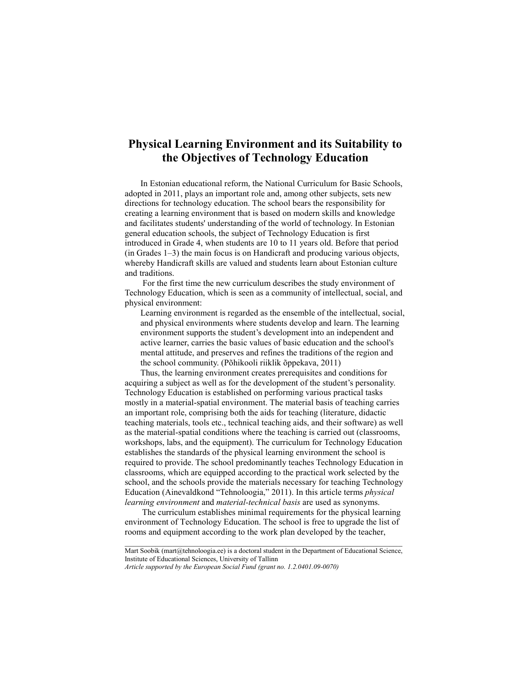# **Physical Learning Environment and its Suitability to the Objectives of Technology Education**

In Estonian educational reform, the National Curriculum for Basic Schools, adopted in 2011, plays an important role and, among other subjects, sets new directions for technology education. The school bears the responsibility for creating a learning environment that is based on modern skills and knowledge and facilitates students' understanding of the world of technology. In Estonian general education schools, the subject of Technology Education is first introduced in Grade 4, when students are 10 to 11 years old. Before that period (in Grades 1–3) the main focus is on Handicraft and producing various objects, whereby Handicraft skills are valued and students learn about Estonian culture and traditions.

For the first time the new curriculum describes the study environment of Technology Education, which is seen as a community of intellectual, social, and physical environment:

Learning environment is regarded as the ensemble of the intellectual, social, and physical environments where students develop and learn. The learning environment supports the student's development into an independent and active learner, carries the basic values of basic education and the school's mental attitude, and preserves and refines the traditions of the region and the school community. (Põhikooli riiklik õppekava, 2011)

Thus, the learning environment creates prerequisites and conditions for acquiring a subject as well as for the development of the student's personality. Technology Education is established on performing various practical tasks mostly in a material-spatial environment. The material basis of teaching carries an important role, comprising both the aids for teaching (literature, didactic teaching materials, tools etc., technical teaching aids, and their software) as well as the material-spatial conditions where the teaching is carried out (classrooms, workshops, labs, and the equipment). The curriculum for Technology Education establishes the standards of the physical learning environment the school is required to provide. The school predominantly teaches Technology Education in classrooms, which are equipped according to the practical work selected by the school, and the schools provide the materials necessary for teaching Technology Education (Ainevaldkond "Tehnoloogia," 2011). In this article terms *physical learning environment* and *material-technical basis* are used as synonyms.

 The curriculum establishes minimal requirements for the physical learning environment of Technology Education. The school is free to upgrade the list of rooms and equipment according to the work plan developed by the teacher,

\_\_\_\_\_\_\_\_\_\_\_\_\_\_\_\_\_\_\_\_\_\_\_\_\_\_\_\_\_\_\_\_\_\_\_\_\_\_\_\_\_\_\_\_\_\_\_\_\_\_\_\_\_\_\_\_\_\_\_\_\_\_\_\_ Mart Soobik (mart@tehnoloogia.ee) is a doctoral student in the Department of Educational Science, Institute of Educational Sciences, University of Tallinn

*Article supported by the European Social Fund (grant no. 1.2.0401.09-0070)*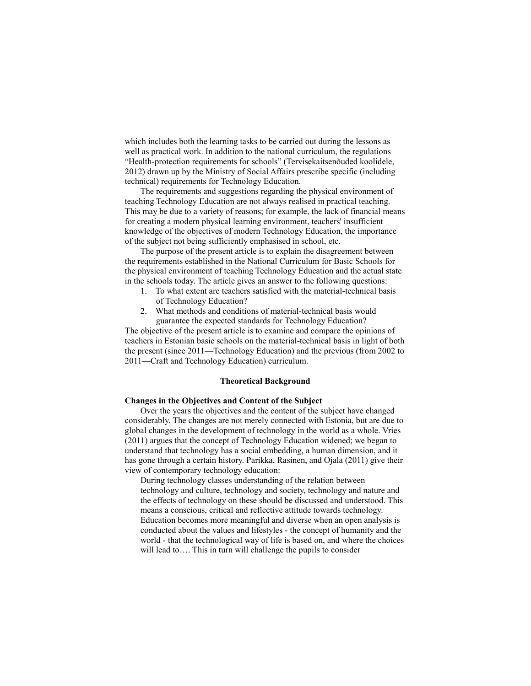which includes both the learning tasks to be carried out during the lessons as well as practical work. In addition to the national curriculum, the regulations "Health-protection requirements for schools" (Tervisekaitsenõuded koolidele, 2012) drawn up by the Ministry of Social Affairs prescribe specific (including technical) requirements for Technology Education.

The requirements and suggestions regarding the physical environment of teaching Technology Education are not always realised in practical teaching. This may be due to a variety of reasons; for example, the lack of financial means for creating a modern physical learning environment, teachers' insufficient knowledge of the objectives of modern Technology Education, the importance of the subject not being sufficiently emphasised in school, etc.

The purpose of the present article is to explain the disagreement between the requirements established in the National Curriculum for Basic Schools for the physical environment of teaching Technology Education and the actual state in the schools today. The article gives an answer to the following questions:

- 1. To what extent are teachers satisfied with the material-technical basis of Technology Education?
- 2. What methods and conditions of material-technical basis would guarantee the expected standards for Technology Education?

The objective of the present article is to examine and compare the opinions of teachers in Estonian basic schools on the material-technical basis in light of both the present (since 2011—Technology Education) and the previous (from 2002 to 2011—Craft and Technology Education) curriculum.

## **Theoretical Background**

# **Changes in the Objectives and Content of the Subject**

Over the years the objectives and the content of the subject have changed considerably. The changes are not merely connected with Estonia, but are due to global changes in the development of technology in the world as a whole. Vries (2011) argues that the concept of Technology Education widened; we began to understand that technology has a social embedding, a human dimension, and it has gone through a certain history. Parikka, Rasinen, and Ojala (2011) give their view of contemporary technology education:

During technology classes understanding of the relation between technology and culture, technology and society, technology and nature and the effects of technology on these should be discussed and understood. This means a conscious, critical and reflective attitude towards technology. Education becomes more meaningful and diverse when an open analysis is conducted about the values and lifestyles - the concept of humanity and the world - that the technological way of life is based on, and where the choices will lead to.... This in turn will challenge the pupils to consider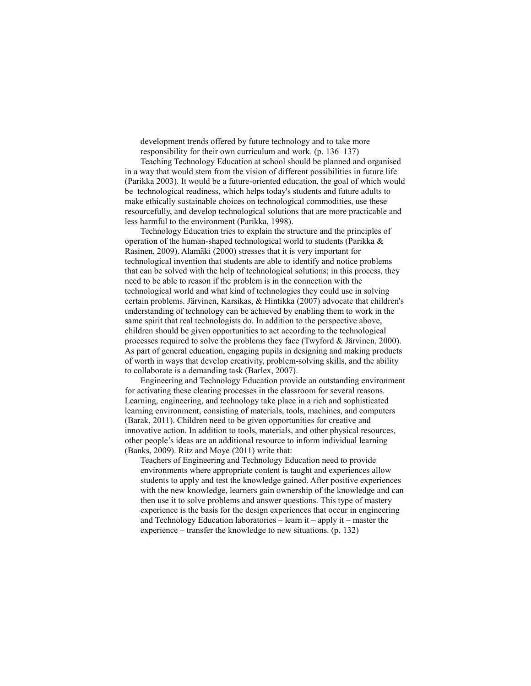development trends offered by future technology and to take more responsibility for their own curriculum and work. (p. 136–137)

Teaching Technology Education at school should be planned and organised in a way that would stem from the vision of different possibilities in future life (Parikka 2003). It would be a future-oriented education, the goal of which would be technological readiness, which helps today's students and future adults to make ethically sustainable choices on technological commodities, use these resourcefully, and develop technological solutions that are more practicable and less harmful to the environment (Parikka, 1998).

Technology Education tries to explain the structure and the principles of operation of the human-shaped technological world to students (Parikka & Rasinen, 2009). Alamäki (2000) stresses that it is very important for technological invention that students are able to identify and notice problems that can be solved with the help of technological solutions; in this process, they need to be able to reason if the problem is in the connection with the technological world and what kind of technologies they could use in solving certain problems. Järvinen, Karsikas, & Hintikka (2007) advocate that children's understanding of technology can be achieved by enabling them to work in the same spirit that real technologists do. In addition to the perspective above, children should be given opportunities to act according to the technological processes required to solve the problems they face (Twyford & Järvinen, 2000). As part of general education, engaging pupils in designing and making products of worth in ways that develop creativity, problem-solving skills, and the ability to collaborate is a demanding task (Barlex, 2007).

Engineering and Technology Education provide an outstanding environment for activating these clearing processes in the classroom for several reasons. Learning, engineering, and technology take place in a rich and sophisticated learning environment, consisting of materials, tools, machines, and computers (Barak, 2011). Children need to be given opportunities for creative and innovative action. In addition to tools, materials, and other physical resources, other people's ideas are an additional resource to inform individual learning (Banks, 2009). Ritz and Moye (2011) write that:

Teachers of Engineering and Technology Education need to provide environments where appropriate content is taught and experiences allow students to apply and test the knowledge gained. After positive experiences with the new knowledge, learners gain ownership of the knowledge and can then use it to solve problems and answer questions. This type of mastery experience is the basis for the design experiences that occur in engineering and Technology Education laboratories – learn it – apply it – master the experience – transfer the knowledge to new situations. (p. 132)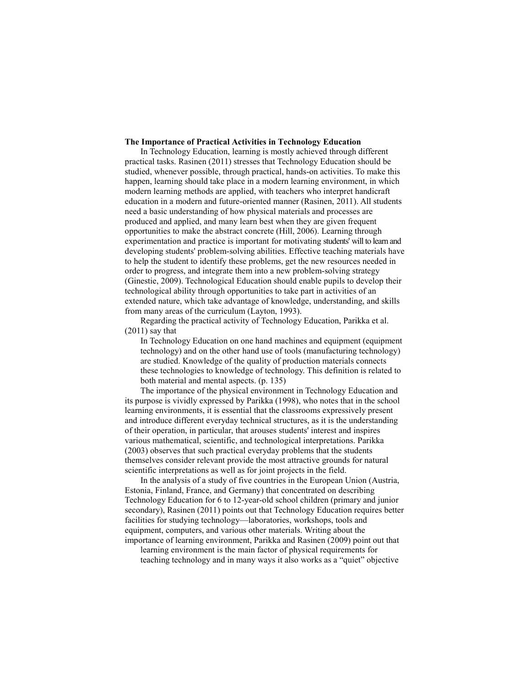# **The Importance of Practical Activities in Technology Education**

In Technology Education, learning is mostly achieved through different practical tasks. Rasinen (2011) stresses that Technology Education should be studied, whenever possible, through practical, hands-on activities. To make this happen, learning should take place in a modern learning environment, in which modern learning methods are applied, with teachers who interpret handicraft education in a modern and future-oriented manner (Rasinen, 2011). All students need a basic understanding of how physical materials and processes are produced and applied, and many learn best when they are given frequent opportunities to make the abstract concrete (Hill, 2006). Learning through experimentation and practice is important for motivating students' will to learn and developing students' problem-solving abilities. Effective teaching materials have to help the student to identify these problems, get the new resources needed in order to progress, and integrate them into a new problem-solving strategy (Ginestie, 2009). Technological Education should enable pupils to develop their technological ability through opportunities to take part in activities of an extended nature, which take advantage of knowledge, understanding, and skills from many areas of the curriculum (Layton, 1993).

Regarding the practical activity of Technology Education, Parikka et al. (2011) say that

In Technology Education on one hand machines and equipment (equipment technology) and on the other hand use of tools (manufacturing technology) are studied. Knowledge of the quality of production materials connects these technologies to knowledge of technology. This definition is related to both material and mental aspects. (p. 135)

The importance of the physical environment in Technology Education and its purpose is vividly expressed by Parikka (1998), who notes that in the school learning environments, it is essential that the classrooms expressively present and introduce different everyday technical structures, as it is the understanding of their operation, in particular, that arouses students' interest and inspires various mathematical, scientific, and technological interpretations. Parikka (2003) observes that such practical everyday problems that the students themselves consider relevant provide the most attractive grounds for natural scientific interpretations as well as for joint projects in the field.

In the analysis of a study of five countries in the European Union (Austria, Estonia, Finland, France, and Germany) that concentrated on describing Technology Education for 6 to 12-year-old school children (primary and junior secondary), Rasinen (2011) points out that Technology Education requires better facilities for studying technology—laboratories, workshops, tools and equipment, computers, and various other materials. Writing about the importance of learning environment, Parikka and Rasinen (2009) point out that

learning environment is the main factor of physical requirements for teaching technology and in many ways it also works as a "quiet" objective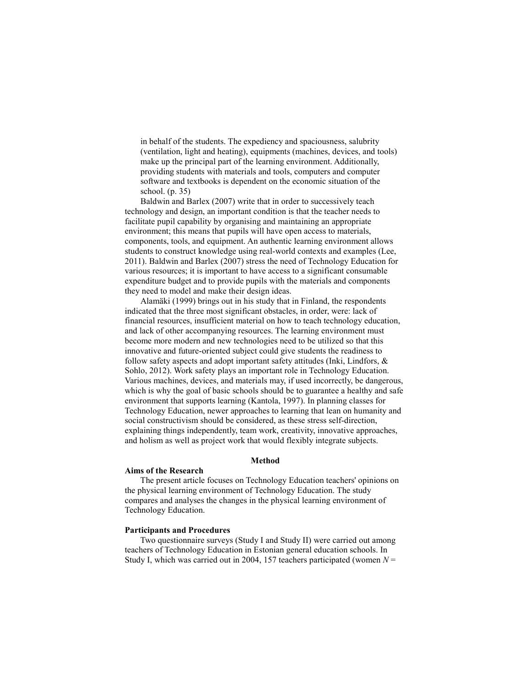in behalf of the students. The expediency and spaciousness, salubrity (ventilation, light and heating), equipments (machines, devices, and tools) make up the principal part of the learning environment. Additionally, providing students with materials and tools, computers and computer software and textbooks is dependent on the economic situation of the school. (p. 35)

Baldwin and Barlex (2007) write that in order to successively teach technology and design, an important condition is that the teacher needs to facilitate pupil capability by organising and maintaining an appropriate environment; this means that pupils will have open access to materials, components, tools, and equipment. An authentic learning environment allows students to construct knowledge using real-world contexts and examples (Lee, 2011). Baldwin and Barlex (2007) stress the need of Technology Education for various resources; it is important to have access to a significant consumable expenditure budget and to provide pupils with the materials and components they need to model and make their design ideas.

Alamäki (1999) brings out in his study that in Finland, the respondents indicated that the three most significant obstacles, in order, were: lack of financial resources, insufficient material on how to teach technology education, and lack of other accompanying resources. The learning environment must become more modern and new technologies need to be utilized so that this innovative and future-oriented subject could give students the readiness to follow safety aspects and adopt important safety attitudes (Inki, Lindfors, & Sohlo, 2012). Work safety plays an important role in Technology Education. Various machines, devices, and materials may, if used incorrectly, be dangerous, which is why the goal of basic schools should be to guarantee a healthy and safe environment that supports learning (Kantola, 1997). In planning classes for Technology Education, newer approaches to learning that lean on humanity and social constructivism should be considered, as these stress self-direction, explaining things independently, team work, creativity, innovative approaches, and holism as well as project work that would flexibly integrate subjects.

#### **Method**

#### **Aims of the Research**

The present article focuses on Technology Education teachers' opinions on the physical learning environment of Technology Education. The study compares and analyses the changes in the physical learning environment of Technology Education.

### **Participants and Procedures**

Two questionnaire surveys (Study I and Study II) were carried out among teachers of Technology Education in Estonian general education schools. In Study I, which was carried out in 2004, 157 teachers participated (women *N* =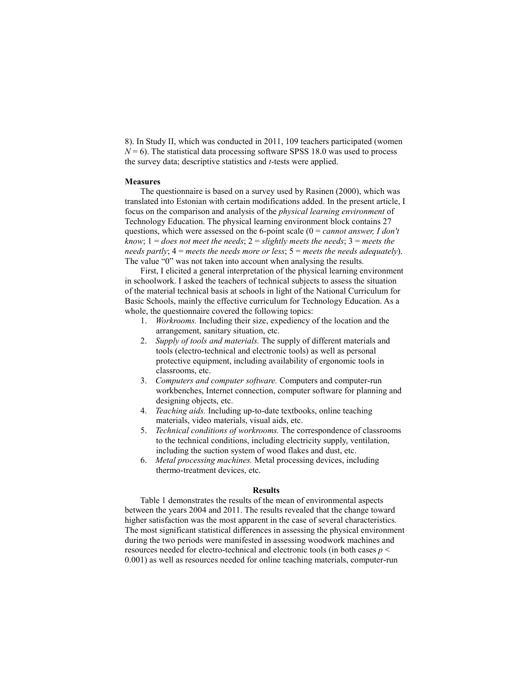8). In Study II, which was conducted in 2011, 109 teachers participated (women  $N = 6$ ). The statistical data processing software SPSS 18.0 was used to process the survey data; descriptive statistics and *t*-tests were applied.

### **Measures**

The questionnaire is based on a survey used by Rasinen (2000), which was translated into Estonian with certain modifications added. In the present article, I focus on the comparison and analysis of the *physical learning environment* of Technology Education. The physical learning environment block contains 27 questions, which were assessed on the 6-point scale (0 = *cannot answer, I don't know*; 1 = *does not meet the needs*; 2 = *slightly meets the needs*; 3 = *meets the needs partly*; 4 = *meets the needs more or less*; 5 = *meets the needs adequately*). The value "0" was not taken into account when analysing the results.

First, I elicited a general interpretation of the physical learning environment in schoolwork. I asked the teachers of technical subjects to assess the situation of the material technical basis at schools in light of the National Curriculum for Basic Schools, mainly the effective curriculum for Technology Education. As a whole, the questionnaire covered the following topics:

- 1. *Workrooms.* Including their size, expediency of the location and the arrangement, sanitary situation, etc.
- 2. *Supply of tools and materials.* The supply of different materials and tools (electro-technical and electronic tools) as well as personal protective equipment, including availability of ergonomic tools in classrooms, etc.
- 3. *Computers and computer software.* Computers and computer-run workbenches, Internet connection, computer software for planning and designing objects, etc.
- 4. *Teaching aids.* Including up-to-date textbooks, online teaching materials, video materials, visual aids, etc.
- 5. *Technical conditions of workrooms.* The correspondence of classrooms to the technical conditions, including electricity supply, ventilation, including the suction system of wood flakes and dust, etc.
- 6. *Metal processing machines.* Metal processing devices, including thermo-treatment devices, etc.

### **Results**

Table 1 demonstrates the results of the mean of environmental aspects between the years 2004 and 2011. The results revealed that the change toward higher satisfaction was the most apparent in the case of several characteristics. The most significant statistical differences in assessing the physical environment during the two periods were manifested in assessing woodwork machines and resources needed for electro-technical and electronic tools (in both cases *p* < 0.001) as well as resources needed for online teaching materials, computer-run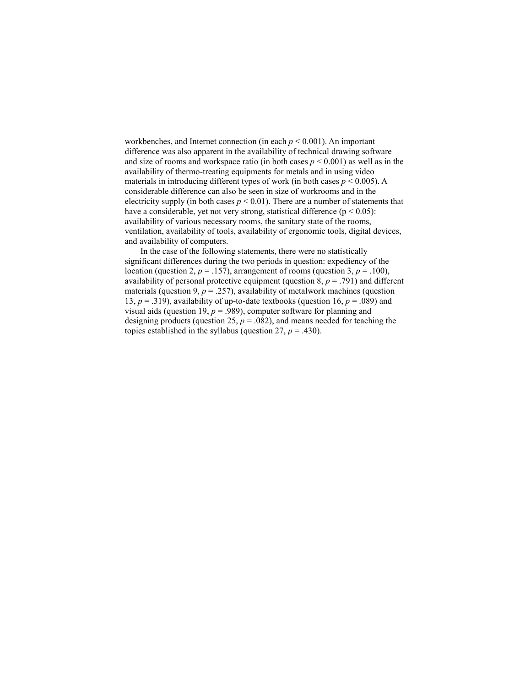workbenches, and Internet connection (in each *p* < 0.001). An important difference was also apparent in the availability of technical drawing software and size of rooms and workspace ratio (in both cases  $p \leq 0.001$ ) as well as in the availability of thermo-treating equipments for metals and in using video materials in introducing different types of work (in both cases  $p \le 0.005$ ). A considerable difference can also be seen in size of workrooms and in the electricity supply (in both cases  $p \le 0.01$ ). There are a number of statements that have a considerable, yet not very strong, statistical difference ( $p < 0.05$ ): availability of various necessary rooms, the sanitary state of the rooms, ventilation, availability of tools, availability of ergonomic tools, digital devices, and availability of computers.

In the case of the following statements, there were no statistically significant differences during the two periods in question: expediency of the location (question 2,  $p = .157$ ), arrangement of rooms (question 3,  $p = .100$ ), availability of personal protective equipment (question  $8, p = .791$ ) and different materials (question 9,  $p = 0.257$ ), availability of metalwork machines (question 13,  $p = .319$ ), availability of up-to-date textbooks (question 16,  $p = .089$ ) and visual aids (question 19,  $p = .989$ ), computer software for planning and designing products (question 25,  $p = .082$ ), and means needed for teaching the topics established in the syllabus (question  $27$ ,  $p = .430$ ).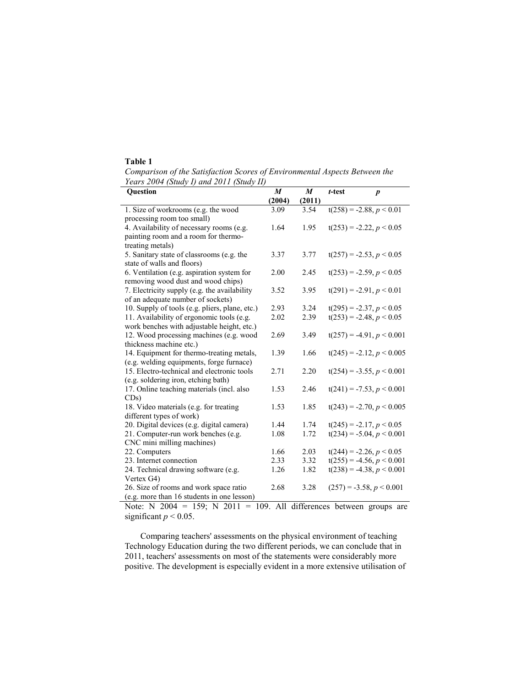# **Table 1**

*Comparison of the Satisfaction Scores of Environmental Aspects Between the Years 2004 (Study I) and 2011 (Study II)*

| <b>Ouestion</b>                                                                        | $\boldsymbol{M}$ | $\boldsymbol{M}$ | t-test | $\boldsymbol{p}$              |
|----------------------------------------------------------------------------------------|------------------|------------------|--------|-------------------------------|
|                                                                                        | (2004)           | (2011)           |        |                               |
| 1. Size of workrooms (e.g. the wood                                                    | 3.09             | 3.54             |        | $t(258) = -2.88, p < 0.01$    |
| processing room too small)                                                             |                  |                  |        |                               |
| 4. Availability of necessary rooms (e.g.                                               | 1.64             | 1.95             |        | $t(253) = -2.22, p < 0.05$    |
| painting room and a room for thermo-                                                   |                  |                  |        |                               |
| treating metals)                                                                       |                  |                  |        |                               |
| 5. Sanitary state of classrooms (e.g. the                                              | 3.37             | 3.77             |        | $t(257) = -2.53, p < 0.05$    |
| state of walls and floors)                                                             |                  |                  |        |                               |
| 6. Ventilation (e.g. aspiration system for                                             | 2.00             | 2.45             |        | $t(253) = -2.59, p < 0.05$    |
| removing wood dust and wood chips)                                                     |                  |                  |        |                               |
| 7. Electricity supply (e.g. the availability                                           | 3.52             | 3.95             |        | $t(291) = -2.91, p < 0.01$    |
| of an adequate number of sockets)                                                      |                  |                  |        |                               |
| 10. Supply of tools (e.g. pliers, plane, etc.)                                         | 2.93             | 3.24             |        | $t(295) = -2.37, p < 0.05$    |
| 11. Availability of ergonomic tools (e.g.                                              | 2.02             | 2.39             |        | $t(253) = -2.48, p < 0.05$    |
| work benches with adjustable height, etc.)                                             |                  |                  |        |                               |
| 12. Wood processing machines (e.g. wood                                                | 2.69             | 3.49             |        | $t(257) = -4.91, p < 0.001$   |
| thickness machine etc.)                                                                |                  |                  |        |                               |
| 14. Equipment for thermo-treating metals,                                              | 1.39             | 1.66             |        | $t(245) = -2.12, p \le 0.005$ |
| (e.g. welding equipments, forge furnace)<br>15. Electro-technical and electronic tools | 2.71             |                  |        |                               |
|                                                                                        |                  | 2.20             |        | $t(254) = -3.55, p < 0.001$   |
| (e.g. soldering iron, etching bath)<br>17. Online teaching materials (incl. also       | 1.53             | 2.46             |        | $t(241) = -7.53, p < 0.001$   |
| CDs)                                                                                   |                  |                  |        |                               |
| 18. Video materials (e.g. for treating                                                 | 1.53             | 1.85             |        | $t(243) = -2.70, p \le 0.005$ |
| different types of work)                                                               |                  |                  |        |                               |
| 20. Digital devices (e.g. digital camera)                                              | 1.44             | 1.74             |        | $t(245) = -2.17, p < 0.05$    |
| 21. Computer-run work benches (e.g.                                                    | 1.08             | 1.72             |        | $t(234) = -5.04, p \le 0.001$ |
| CNC mini milling machines)                                                             |                  |                  |        |                               |
| 22. Computers                                                                          | 1.66             | 2.03             |        | $t(244) = -2.26, p < 0.05$    |
| 23. Internet connection                                                                | 2.33             | 3.32             |        | $t(255) = -4.56, p < 0.001$   |
| 24. Technical drawing software (e.g.                                                   | 1.26             | 1.82             |        | $t(238) = -4.38, p \le 0.001$ |
| Vertex G4)                                                                             |                  |                  |        |                               |
| 26. Size of rooms and work space ratio                                                 | 2.68             | 3.28             |        | $(257) = -3.58, p < 0.001$    |
| (e.g. more than 16 students in one lesson)                                             |                  |                  |        |                               |

Note: N  $2004 = 159$ ; N  $2011 = 109$ . All differences between groups are significant  $p < 0.05$ .

Comparing teachers' assessments on the physical environment of teaching Technology Education during the two different periods, we can conclude that in 2011, teachers' assessments on most of the statements were considerably more positive. The development is especially evident in a more extensive utilisation of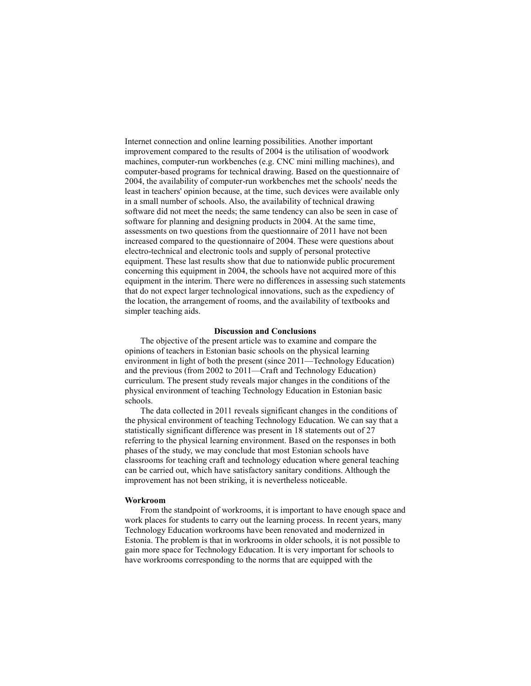Internet connection and online learning possibilities. Another important improvement compared to the results of 2004 is the utilisation of woodwork machines, computer-run workbenches (e.g. CNC mini milling machines), and computer-based programs for technical drawing. Based on the questionnaire of 2004, the availability of computer-run workbenches met the schools' needs the least in teachers' opinion because, at the time, such devices were available only in a small number of schools. Also, the availability of technical drawing software did not meet the needs; the same tendency can also be seen in case of software for planning and designing products in 2004. At the same time, assessments on two questions from the questionnaire of 2011 have not been increased compared to the questionnaire of 2004. These were questions about electro-technical and electronic tools and supply of personal protective equipment. These last results show that due to nationwide public procurement concerning this equipment in 2004, the schools have not acquired more of this equipment in the interim. There were no differences in assessing such statements that do not expect larger technological innovations, such as the expediency of the location, the arrangement of rooms, and the availability of textbooks and simpler teaching aids.

### **Discussion and Conclusions**

The objective of the present article was to examine and compare the opinions of teachers in Estonian basic schools on the physical learning environment in light of both the present (since 2011—Technology Education) and the previous (from 2002 to 2011—Craft and Technology Education) curriculum. The present study reveals major changes in the conditions of the physical environment of teaching Technology Education in Estonian basic schools.

The data collected in 2011 reveals significant changes in the conditions of the physical environment of teaching Technology Education. We can say that a statistically significant difference was present in 18 statements out of 27 referring to the physical learning environment. Based on the responses in both phases of the study, we may conclude that most Estonian schools have classrooms for teaching craft and technology education where general teaching can be carried out, which have satisfactory sanitary conditions. Although the improvement has not been striking, it is nevertheless noticeable.

### **Workroom**

From the standpoint of workrooms, it is important to have enough space and work places for students to carry out the learning process. In recent years, many Technology Education workrooms have been renovated and modernized in Estonia. The problem is that in workrooms in older schools, it is not possible to gain more space for Technology Education. It is very important for schools to have workrooms corresponding to the norms that are equipped with the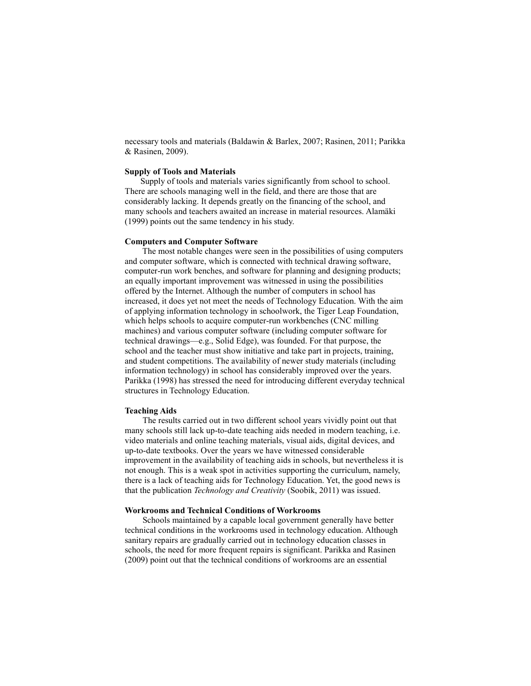necessary tools and materials (Baldawin & Barlex, 2007; Rasinen, 2011; Parikka & Rasinen, 2009).

# **Supply of Tools and Materials**

Supply of tools and materials varies significantly from school to school. There are schools managing well in the field, and there are those that are considerably lacking. It depends greatly on the financing of the school, and many schools and teachers awaited an increase in material resources. Alamäki (1999) points out the same tendency in his study.

### **Computers and Computer Software**

The most notable changes were seen in the possibilities of using computers and computer software, which is connected with technical drawing software, computer-run work benches, and software for planning and designing products; an equally important improvement was witnessed in using the possibilities offered by the Internet. Although the number of computers in school has increased, it does yet not meet the needs of Technology Education. With the aim of applying information technology in schoolwork, the Tiger Leap Foundation, which helps schools to acquire computer-run workbenches (CNC milling) machines) and various computer software (including computer software for technical drawings—e.g., Solid Edge), was founded. For that purpose, the school and the teacher must show initiative and take part in projects, training, and student competitions. The availability of newer study materials (including information technology) in school has considerably improved over the years. Parikka (1998) has stressed the need for introducing different everyday technical structures in Technology Education.

### **Teaching Aids**

The results carried out in two different school years vividly point out that many schools still lack up-to-date teaching aids needed in modern teaching, i.e. video materials and online teaching materials, visual aids, digital devices, and up-to-date textbooks. Over the years we have witnessed considerable improvement in the availability of teaching aids in schools, but nevertheless it is not enough. This is a weak spot in activities supporting the curriculum, namely, there is a lack of teaching aids for Technology Education. Yet, the good news is that the publication *Technology and Creativity* (Soobik, 2011) was issued.

# **Workrooms and Technical Conditions of Workrooms**

Schools maintained by a capable local government generally have better technical conditions in the workrooms used in technology education. Although sanitary repairs are gradually carried out in technology education classes in schools, the need for more frequent repairs is significant. Parikka and Rasinen (2009) point out that the technical conditions of workrooms are an essential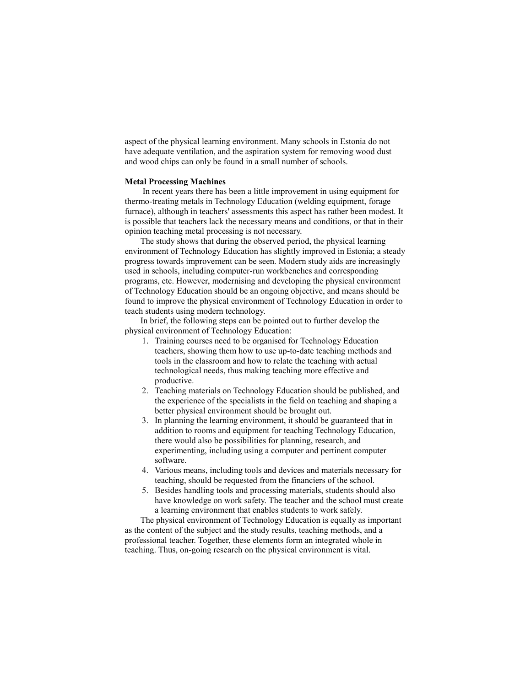aspect of the physical learning environment. Many schools in Estonia do not have adequate ventilation, and the aspiration system for removing wood dust and wood chips can only be found in a small number of schools.

### **Metal Processing Machines**

In recent years there has been a little improvement in using equipment for thermo-treating metals in Technology Education (welding equipment, forage furnace), although in teachers' assessments this aspect has rather been modest. It is possible that teachers lack the necessary means and conditions, or that in their opinion teaching metal processing is not necessary.

The study shows that during the observed period, the physical learning environment of Technology Education has slightly improved in Estonia; a steady progress towards improvement can be seen. Modern study aids are increasingly used in schools, including computer-run workbenches and corresponding programs, etc. However, modernising and developing the physical environment of Technology Education should be an ongoing objective, and means should be found to improve the physical environment of Technology Education in order to teach students using modern technology.

In brief, the following steps can be pointed out to further develop the physical environment of Technology Education:

- 1. Training courses need to be organised for Technology Education teachers, showing them how to use up-to-date teaching methods and tools in the classroom and how to relate the teaching with actual technological needs, thus making teaching more effective and productive.
- 2. Teaching materials on Technology Education should be published, and the experience of the specialists in the field on teaching and shaping a better physical environment should be brought out.
- 3. In planning the learning environment, it should be guaranteed that in addition to rooms and equipment for teaching Technology Education, there would also be possibilities for planning, research, and experimenting, including using a computer and pertinent computer software.
- 4. Various means, including tools and devices and materials necessary for teaching, should be requested from the financiers of the school.
- 5. Besides handling tools and processing materials, students should also have knowledge on work safety. The teacher and the school must create a learning environment that enables students to work safely.

The physical environment of Technology Education is equally as important as the content of the subject and the study results, teaching methods, and a professional teacher. Together, these elements form an integrated whole in teaching. Thus, on-going research on the physical environment is vital.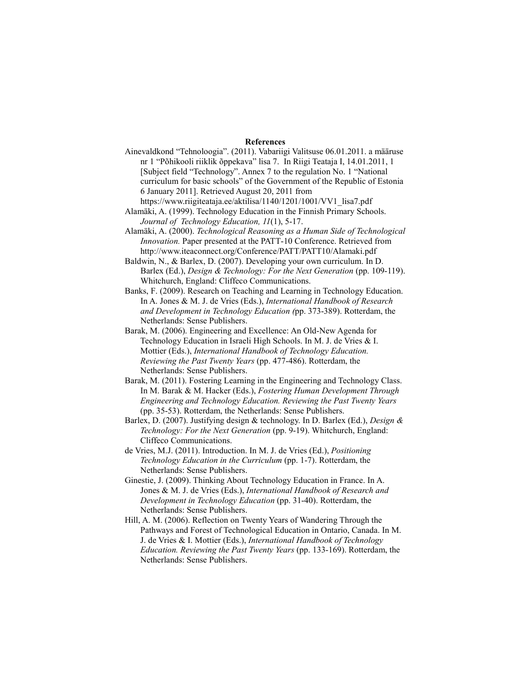### **References**

- Ainevaldkond "Tehnoloogia". (2011). Vabariigi Valitsuse 06.01.2011. a määruse nr 1 "Põhikooli riiklik õppekava" lisa 7. In Riigi Teataja I, 14.01.2011, 1 [Subject field "Technology". Annex 7 to the regulation No. 1 "National curriculum for basic schools" of the Government of the Republic of Estonia 6 January 2011]. Retrieved August 20, 2011 from
- https://www.riigiteataja.ee/aktilisa/1140/1201/1001/VV1\_lisa7.pdf Alamäki, A. (1999). Technology Education in the Finnish Primary Schools. *Journal of Technology Education, 11*(1), 5-17.
- Alamäki, A. (2000). *Technological Reasoning as a Human Side of Technological Innovation.* Paper presented at the PATT-10 Conference. Retrieved from http://www.iteaconnect.org/Conference/PATT/PATT10/Alamaki.pdf
- Baldwin, N., & Barlex, D. (2007). Developing your own curriculum. In D. Barlex (Ed.), *Design & Technology: For the Next Generation* (pp. 109-119). Whitchurch, England: Cliffeco Communications.
- Banks, F. (2009). Research on Teaching and Learning in Technology Education. In A. Jones & M. J. de Vries (Eds.), *International Handbook of Research and Development in Technology Education (*pp. 373-389). Rotterdam, the Netherlands: Sense Publishers.
- Barak, M. (2006). Engineering and Excellence: An Old-New Agenda for Technology Education in Israeli High Schools. In M. J. de Vries & I. Mottier (Eds.), *International Handbook of Technology Education. Reviewing the Past Twenty Years* (pp. 477-486). Rotterdam, the Netherlands: Sense Publishers.
- Barak, M. (2011). Fostering Learning in the Engineering and Technology Class. In M. Barak & M. Hacker (Eds.), *Fostering Human Development Through Engineering and Technology Education. Reviewing the Past Twenty Years* (pp. 35-53). Rotterdam, the Netherlands: Sense Publishers.
- Barlex, D. (2007). Justifying design & technology. In D. Barlex (Ed.), *Design & Technology: For the Next Generation* (pp. 9-19). Whitchurch, England: Cliffeco Communications.
- de Vries, M.J. (2011). Introduction. In M. J. de Vries (Ed.), *Positioning Technology Education in the Curriculum* (pp. 1-7). Rotterdam, the Netherlands: Sense Publishers.
- Ginestie, J. (2009). Thinking About Technology Education in France. In A. Jones & M. J. de Vries (Eds.), *International Handbook of Research and Development in Technology Education* (pp. 31-40). Rotterdam, the Netherlands: Sense Publishers.
- Hill, A. M. (2006). Reflection on Twenty Years of Wandering Through the Pathways and Forest of Technological Education in Ontario, Canada. In M. J. de Vries & I. Mottier (Eds.), *International Handbook of Technology Education. Reviewing the Past Twenty Years* (pp. 133-169). Rotterdam, the Netherlands: Sense Publishers.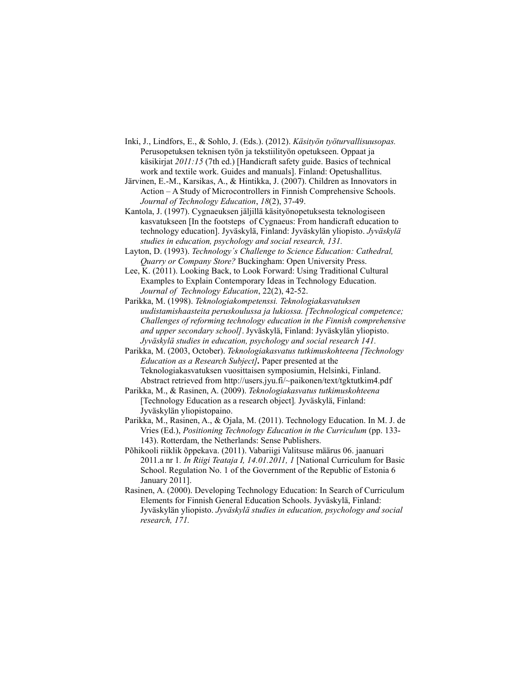- Inki, J., Lindfors, E., & Sohlo, J. (Eds.). (2012). *Käsityön työturvallisuusopas.*  Perusopetuksen teknisen työn ja tekstiilityön opetukseen. Oppaat ja käsikirjat *2011:15* (7th ed.) [Handicraft safety guide. Basics of technical work and textile work. Guides and manuals]. Finland: Opetushallitus.
- Järvinen, E.-M., Karsikas, A., & Hintikka, J. (2007). Children as Innovators in Action – A Study of Microcontrollers in Finnish Comprehensive Schools. *Journal of Technology Education*, *18*(2), 37-49.
- Kantola, J. (1997). Cygnaeuksen jäljillä käsityönopetuksesta teknologiseen kasvatukseen [In the footsteps of Cygnaeus: From handicraft education to technology education]. Jyväskylä, Finland: Jyväskylän yliopisto. *Jyväskylä studies in education, psychology and social research, 131.*
- Layton, D. (1993). *Technology´s Challenge to Science Education: Cathedral, Quarry or Company Store?* Buckingham: Open University Press.

Lee, K. (2011). Looking Back, to Look Forward: Using Traditional Cultural Examples to Explain Contemporary Ideas in Technology Education. *Journal of Technology Education*, 22(2), 42-52.

- Parikka, M. (1998). *Teknologiakompetenssi. Teknologiakasvatuksen uudistamishaasteita peruskoulussa ja lukiossa. [Technological competence; Challenges of reforming technology education in the Finnish comprehensive and upper secondary school]*. Jyväskylä, Finland: Jyväskylän yliopisto. *Jyväskylä studies in education, psychology and social research 141.*
- Parikka, M. (2003, October). *Teknologiakasvatus tutkimuskohteena [Technology Education as a Research Subject].* Paper presented at the Teknologiakasvatuksen vuosittaisen symposiumin, Helsinki, Finland. Abstract retrieved from http://users.jyu.fi/~paikonen/text/tgktutkim4.pdf
- Parikka, M., & Rasinen, A. (2009). *Teknologiakasvatus tutkimuskohteena*  [Technology Education as a research object]*.* Jyväskylä, Finland: Jyväskylän yliopistopaino.
- Parikka, M., Rasinen, A., & Ojala, M. (2011). Technology Education. In M. J. de Vries (Ed.), *Positioning Technology Education in the Curriculum* (pp. 133- 143). Rotterdam, the Netherlands: Sense Publishers.
- Põhikooli riiklik õppekava. (2011). Vabariigi Valitsuse määrus 06. jaanuari 2011.a nr 1*. In Riigi Teataja I, 14.01.2011, 1* [National Curriculum for Basic School. Regulation No. 1 of the Government of the Republic of Estonia 6 January 2011].
- Rasinen, A. (2000). Developing Technology Education: In Search of Curriculum Elements for Finnish General Education Schools. Jyväskylä, Finland: Jyväskylän yliopisto. *Jyväskylä studies in education, psychology and social research, 171.*